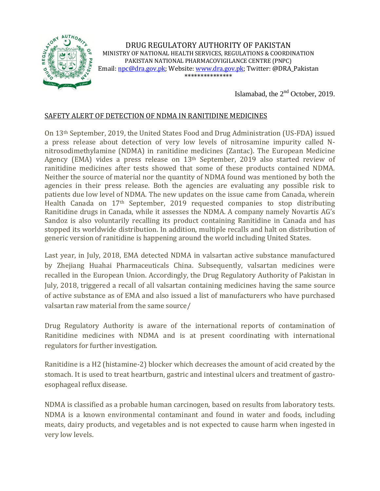

DRUG REGULATORY AUTHORITY OF PAKISTAN MINISTRY OF NATIONAL HEALTH SERVICES, REGULATIONS & COORDINATION PAKISTAN NATIONAL PHARMACOVIGILANCE CENTRE (PNPC) Email[: npc@dra.gov.pk;](mailto:npc@dra.gov.pk) Website[: www.dra.gov.pk;](http://www.dra.gov.pk/) Twitter: @DRA\_Pakistan \*\*\*\*\*\*\*\*\*\*\*\*\*\*\*

Islamabad, the  $2<sup>nd</sup>$  October, 2019.

## SAFETY ALERT OF DETECTION OF NDMA IN RANITIDINE MEDICINES

On 13th September, 2019, the United States Food and Drug Administration (US-FDA) issued a press release about detection of very low levels of nitrosamine impurity called Nnitrosodimethylamine (NDMA) in ranitidine medicines (Zantac). The European Medicine Agency (EMA) vides a press release on 13th September, 2019 also started review of ranitidine medicines after tests showed that some of these products contained NDMA. Neither the source of material nor the quantity of NDMA found was mentioned by both the agencies in their press release. Both the agencies are evaluating any possible risk to patients due low level of NDMA. The new updates on the issue came from Canada, wherein Health Canada on 17th September, 2019 requested companies to stop distributing Ranitidine drugs in Canada, while it assesses the NDMA. A company namely Novartis AG's Sandoz is also voluntarily recalling its product containing Ranitidine in Canada and has stopped its worldwide distribution. In addition, multiple recalls and halt on distribution of generic version of ranitidine is happening around the world including United States.

Last year, in July, 2018, EMA detected NDMA in valsartan active substance manufactured by Zhejiang Huahai Pharmaceuticals China. Subsequently, valsartan medicines were recalled in the European Union. Accordingly, the Drug Regulatory Authority of Pakistan in July, 2018, triggered a recall of all valsartan containing medicines having the same source of active substance as of EMA and also issued a list of manufacturers who have purchased valsartan raw material from the same source/

Drug Regulatory Authority is aware of the international reports of contamination of Ranitidine medicines with NDMA and is at present coordinating with international regulators for further investigation.

Ranitidine is a H2 (histamine-2) blocker which decreases the amount of acid created by the stomach. It is used to treat heartburn, gastric and intestinal ulcers and treatment of gastroesophageal reflux disease.

NDMA is classified as a probable human carcinogen, based on results from laboratory tests. NDMA is a known environmental contaminant and found in water and foods, including meats, dairy products, and vegetables and is not expected to cause harm when ingested in very low levels.